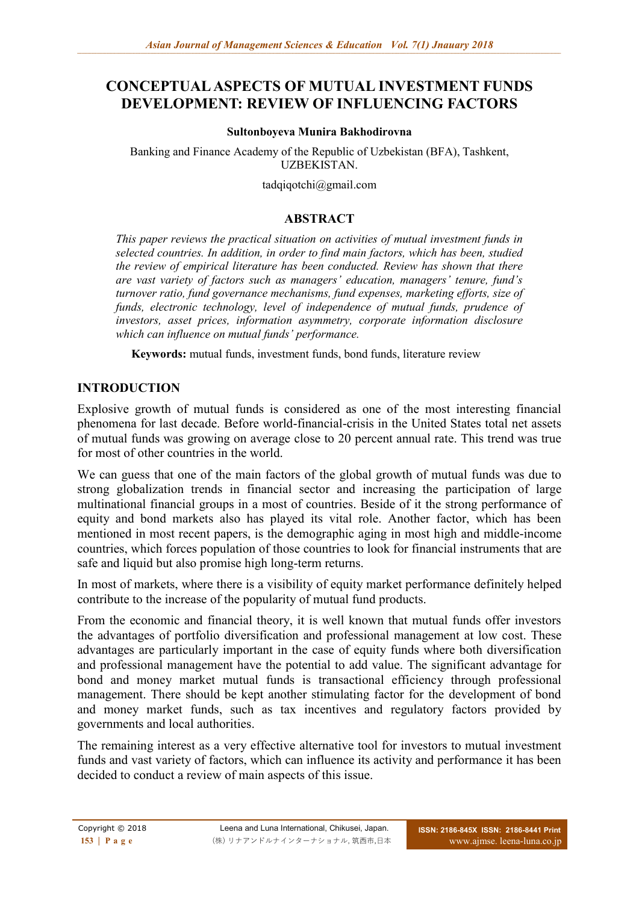# **CONCEPTUAL ASPECTS OF MUTUAL INVESTMENT FUNDS DEVELOPMENT: REVIEW OF INFLUENCING FACTORS**

#### **Sultonboyeva Munira Bakhodirovna**

Banking and Finance Academy of the Republic of Uzbekistan (BFA), Tashkent, UZBEKISTAN.

tadqiqotch[i@gmail.com](mailto:bankmoliya@gmail.com)

## **ABSTRACT**

*This paper reviews the practical situation on activities of mutual investment funds in selected countries. In addition, in order to find main factors, which has been, studied the review of empirical literature has been conducted. Review has shown that there are vast variety of factors such as managers' education, managers' tenure, fund's turnover ratio, fund governance mechanisms, fund expenses, marketing efforts, size of funds, electronic technology, level of independence of mutual funds, prudence of investors, asset prices, information asymmetry, corporate information disclosure which can influence on mutual funds' performance.*

**Keywords:** mutual funds, investment funds, bond funds, literature review

# **INTRODUCTION**

Explosive growth of mutual funds is considered as one of the most interesting financial phenomena for last decade. Before world-financial-crisis in the United States total net assets of mutual funds was growing on average close to 20 percent annual rate. This trend was true for most of other countries in the world.

We can guess that one of the main factors of the global growth of mutual funds was due to strong globalization trends in financial sector and increasing the participation of large multinational financial groups in a most of countries. Beside of it the strong performance of equity and bond markets also has played its vital role. Another factor, which has been mentioned in most recent papers, is the demographic aging in most high and middle-income countries, which forces population of those countries to look for financial instruments that are safe and liquid but also promise high long-term returns.

In most of markets, where there is a visibility of equity market performance definitely helped contribute to the increase of the popularity of mutual fund products.

From the economic and financial theory, it is well known that mutual funds offer investors the advantages of portfolio diversification and professional management at low cost. These advantages are particularly important in the case of equity funds where both diversification and professional management have the potential to add value. The significant advantage for bond and money market mutual funds is transactional efficiency through professional management. There should be kept another stimulating factor for the development of bond and money market funds, such as tax incentives and regulatory factors provided by governments and local authorities.

The remaining interest as a very effective alternative tool for investors to mutual investment funds and vast variety of factors, which can influence its activity and performance it has been decided to conduct a review of main aspects of this issue.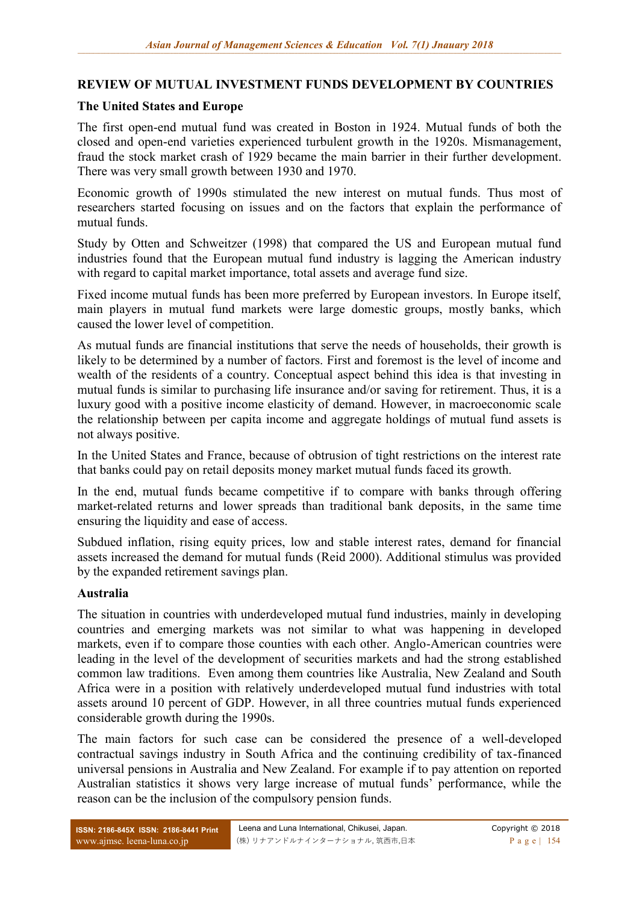## **REVIEW OF MUTUAL INVESTMENT FUNDS DEVELOPMENT BY COUNTRIES**

## **The United States and Europe**

The first open-end mutual fund was created in Boston in 1924. Mutual funds of both the closed and open-end varieties experienced turbulent growth in the 1920s. Mismanagement, fraud the stock market crash of 1929 became the main barrier in their further development. There was very small growth between 1930 and 1970.

Economic growth of 1990s stimulated the new interest on mutual funds. Thus most of researchers started focusing on issues and on the factors that explain the performance of mutual funds.

Study by Otten and Schweitzer (1998) that compared the US and European mutual fund industries found that the European mutual fund industry is lagging the American industry with regard to capital market importance, total assets and average fund size.

Fixed income mutual funds has been more preferred by European investors. In Europe itself, main players in mutual fund markets were large domestic groups, mostly banks, which caused the lower level of competition.

As mutual funds are financial institutions that serve the needs of households, their growth is likely to be determined by a number of factors. First and foremost is the level of income and wealth of the residents of a country. Conceptual aspect behind this idea is that investing in mutual funds is similar to purchasing life insurance and/or saving for retirement. Thus, it is a luxury good with a positive income elasticity of demand. However, in macroeconomic scale the relationship between per capita income and aggregate holdings of mutual fund assets is not always positive.

In the United States and France, because of obtrusion of tight restrictions on the interest rate that banks could pay on retail deposits money market mutual funds faced its growth.

In the end, mutual funds became competitive if to compare with banks through offering market-related returns and lower spreads than traditional bank deposits, in the same time ensuring the liquidity and ease of access.

Subdued inflation, rising equity prices, low and stable interest rates, demand for financial assets increased the demand for mutual funds (Reid 2000). Additional stimulus was provided by the expanded retirement savings plan.

#### **Australia**

The situation in countries with underdeveloped mutual fund industries, mainly in developing countries and emerging markets was not similar to what was happening in developed markets, even if to compare those counties with each other. Anglo-American countries were leading in the level of the development of securities markets and had the strong established common law traditions. Even among them countries like Australia, New Zealand and South Africa were in a position with relatively underdeveloped mutual fund industries with total assets around 10 percent of GDP. However, in all three countries mutual funds experienced considerable growth during the 1990s.

The main factors for such case can be considered the presence of a well-developed contractual savings industry in South Africa and the continuing credibility of tax-financed universal pensions in Australia and New Zealand. For example if to pay attention on reported Australian statistics it shows very large increase of mutual funds' performance, while the reason can be the inclusion of the compulsory pension funds.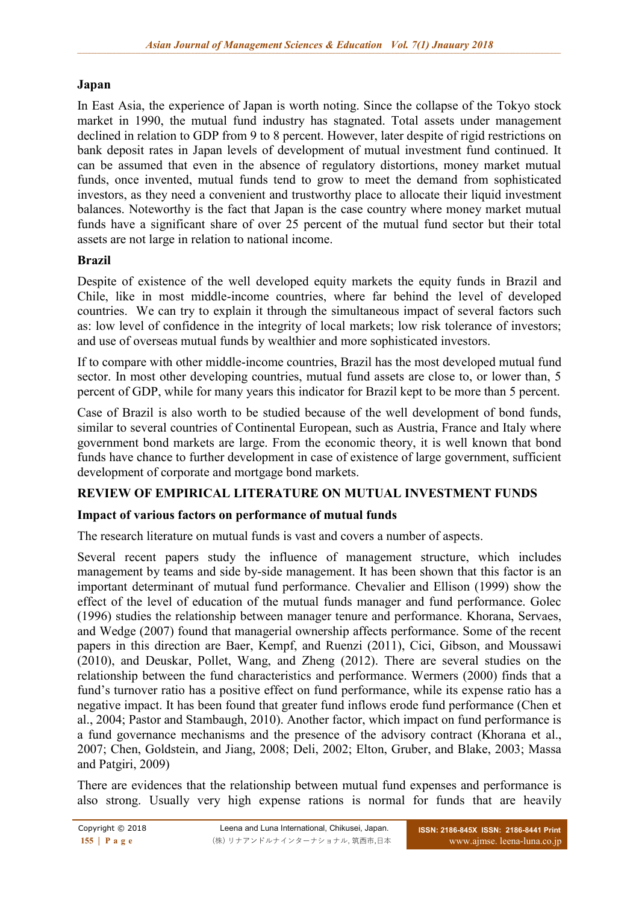# **Japan**

In East Asia, the experience of Japan is worth noting. Since the collapse of the Tokyo stock market in 1990, the mutual fund industry has stagnated. Total assets under management declined in relation to GDP from 9 to 8 percent. However, later despite of rigid restrictions on bank deposit rates in Japan levels of development of mutual investment fund continued. It can be assumed that even in the absence of regulatory distortions, money market mutual funds, once invented, mutual funds tend to grow to meet the demand from sophisticated investors, as they need a convenient and trustworthy place to allocate their liquid investment balances. Noteworthy is the fact that Japan is the case country where money market mutual funds have a significant share of over 25 percent of the mutual fund sector but their total assets are not large in relation to national income.

## **Brazil**

Despite of existence of the well developed equity markets the equity funds in Brazil and Chile, like in most middle-income countries, where far behind the level of developed countries. We can try to explain it through the simultaneous impact of several factors such as: low level of confidence in the integrity of local markets; low risk tolerance of investors; and use of overseas mutual funds by wealthier and more sophisticated investors.

If to compare with other middle-income countries, Brazil has the most developed mutual fund sector. In most other developing countries, mutual fund assets are close to, or lower than, 5 percent of GDP, while for many years this indicator for Brazil kept to be more than 5 percent.

Case of Brazil is also worth to be studied because of the well development of bond funds, similar to several countries of Continental European, such as Austria, France and Italy where government bond markets are large. From the economic theory, it is well known that bond funds have chance to further development in case of existence of large government, sufficient development of corporate and mortgage bond markets.

#### **REVIEW OF EMPIRICAL LITERATURE ON MUTUAL INVESTMENT FUNDS**

#### **Impact of various factors on performance of mutual funds**

The research literature on mutual funds is vast and covers a number of aspects.

Several recent papers study the influence of management structure, which includes management by teams and side by-side management. It has been shown that this factor is an important determinant of mutual fund performance. Chevalier and Ellison (1999) show the effect of the level of education of the mutual funds manager and fund performance. Golec (1996) studies the relationship between manager tenure and performance. Khorana, Servaes, and Wedge (2007) found that managerial ownership affects performance. Some of the recent papers in this direction are Baer, Kempf, and Ruenzi (2011), Cici, Gibson, and Moussawi (2010), and Deuskar, Pollet, Wang, and Zheng (2012). There are several studies on the relationship between the fund characteristics and performance. Wermers (2000) finds that a fund's turnover ratio has a positive effect on fund performance, while its expense ratio has a negative impact. It has been found that greater fund inflows erode fund performance (Chen et al., 2004; Pastor and Stambaugh, 2010). Another factor, which impact on fund performance is a fund governance mechanisms and the presence of the advisory contract (Khorana et al., 2007; Chen, Goldstein, and Jiang, 2008; Deli, 2002; Elton, Gruber, and Blake, 2003; Massa and Patgiri, 2009)

There are evidences that the relationship between mutual fund expenses and performance is also strong. Usually very high expense rations is normal for funds that are heavily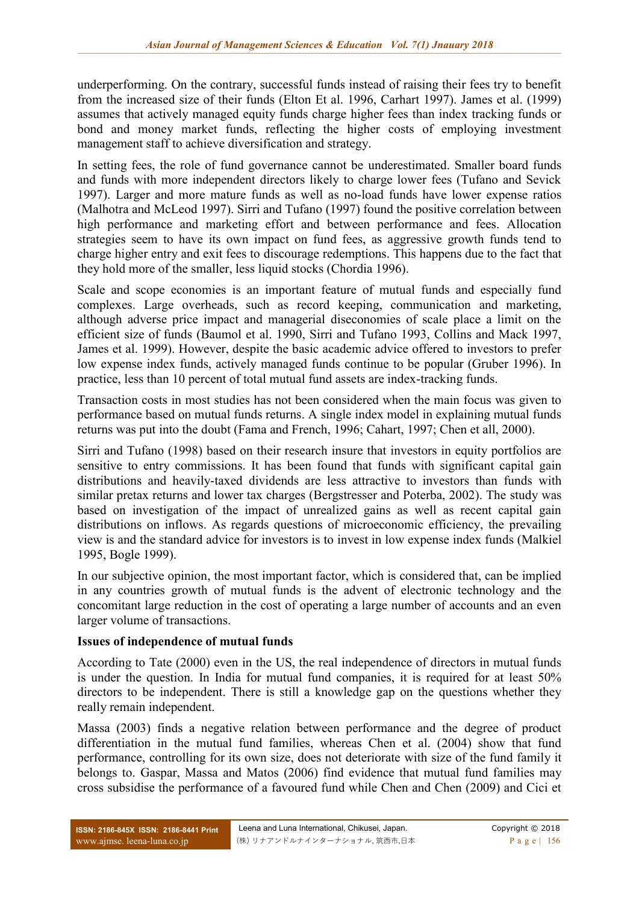underperforming. On the contrary, successful funds instead of raising their fees try to benefit from the increased size of their funds (Elton Et al. 1996, Carhart 1997). James et al. (1999) assumes that actively managed equity funds charge higher fees than index tracking funds or bond and money market funds, reflecting the higher costs of employing investment management staff to achieve diversification and strategy.

In setting fees, the role of fund governance cannot be underestimated. Smaller board funds and funds with more independent directors likely to charge lower fees (Tufano and Sevick 1997). Larger and more mature funds as well as no-load funds have lower expense ratios (Malhotra and McLeod 1997). Sirri and Tufano (1997) found the positive correlation between high performance and marketing effort and between performance and fees. Allocation strategies seem to have its own impact on fund fees, as aggressive growth funds tend to charge higher entry and exit fees to discourage redemptions. This happens due to the fact that they hold more of the smaller, less liquid stocks (Chordia 1996).

Scale and scope economies is an important feature of mutual funds and especially fund complexes. Large overheads, such as record keeping, communication and marketing, although adverse price impact and managerial diseconomies of scale place a limit on the efficient size of funds (Baumol et al. 1990, Sirri and Tufano 1993, Collins and Mack 1997, James et al. 1999). However, despite the basic academic advice offered to investors to prefer low expense index funds, actively managed funds continue to be popular (Gruber 1996). In practice, less than 10 percent of total mutual fund assets are index-tracking funds.

Transaction costs in most studies has not been considered when the main focus was given to performance based on mutual funds returns. A single index model in explaining mutual funds returns was put into the doubt (Fama and French, 1996; Cahart, 1997; Chen et all, 2000).

Sirri and Tufano (1998) based on their research insure that investors in equity portfolios are sensitive to entry commissions. It has been found that funds with significant capital gain distributions and heavily-taxed dividends are less attractive to investors than funds with similar pretax returns and lower tax charges (Bergstresser and Poterba, 2002). The study was based on investigation of the impact of unrealized gains as well as recent capital gain distributions on inflows. As regards questions of microeconomic efficiency, the prevailing view is and the standard advice for investors is to invest in low expense index funds (Malkiel 1995, Bogle 1999).

In our subjective opinion, the most important factor, which is considered that, can be implied in any countries growth of mutual funds is the advent of electronic technology and the concomitant large reduction in the cost of operating a large number of accounts and an even larger volume of transactions.

#### **Issues of independence of mutual funds**

According to Tate (2000) even in the US, the real independence of directors in mutual funds is under the question. In India for mutual fund companies, it is required for at least 50% directors to be independent. There is still a knowledge gap on the questions whether they really remain independent.

Massa (2003) finds a negative relation between performance and the degree of product differentiation in the mutual fund families, whereas Chen et al. (2004) show that fund performance, controlling for its own size, does not deteriorate with size of the fund family it belongs to. Gaspar, Massa and Matos (2006) find evidence that mutual fund families may cross subsidise the performance of a favoured fund while Chen and Chen (2009) and Cici et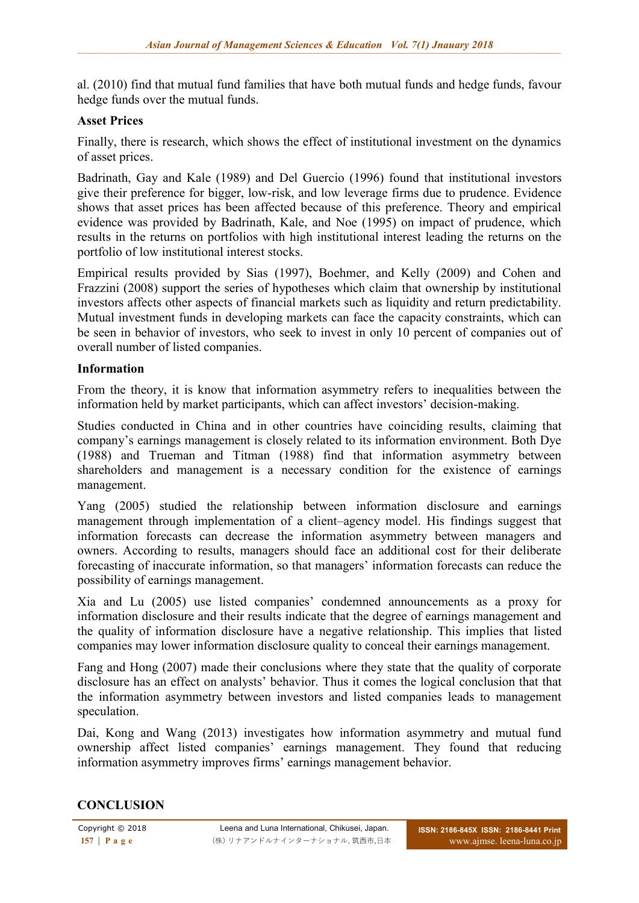al. (2010) find that mutual fund families that have both mutual funds and hedge funds, favour hedge funds over the mutual funds.

## **Asset Prices**

Finally, there is research, which shows the effect of institutional investment on the dynamics of asset prices.

Badrinath, Gay and Kale (1989) and Del Guercio (1996) found that institutional investors give their preference for bigger, low-risk, and low leverage firms due to prudence. Evidence shows that asset prices has been affected because of this preference. Theory and empirical evidence was provided by Badrinath, Kale, and Noe (1995) on impact of prudence, which results in the returns on portfolios with high institutional interest leading the returns on the portfolio of low institutional interest stocks.

Empirical results provided by Sias (1997), Boehmer, and Kelly (2009) and Cohen and Frazzini (2008) support the series of hypotheses which claim that ownership by institutional investors affects other aspects of financial markets such as liquidity and return predictability. Mutual investment funds in developing markets can face the capacity constraints, which can be seen in behavior of investors, who seek to invest in only 10 percent of companies out of overall number of listed companies.

#### **Information**

From the theory, it is know that information asymmetry refers to inequalities between the information held by market participants, which can affect investors' decision-making.

Studies conducted in China and in other countries have coinciding results, claiming that company's earnings management is closely related to its information environment. Both Dye (1988) and Trueman and Titman (1988) find that information asymmetry between shareholders and management is a necessary condition for the existence of earnings management.

Yang (2005) studied the relationship between information disclosure and earnings management through implementation of a client–agency model. His findings suggest that information forecasts can decrease the information asymmetry between managers and owners. According to results, managers should face an additional cost for their deliberate forecasting of inaccurate information, so that managers' information forecasts can reduce the possibility of earnings management.

Xia and Lu (2005) use listed companies' condemned announcements as a proxy for information disclosure and their results indicate that the degree of earnings management and the quality of information disclosure have a negative relationship. This implies that listed companies may lower information disclosure quality to conceal their earnings management.

Fang and Hong (2007) made their conclusions where they state that the quality of corporate disclosure has an effect on analysts' behavior. Thus it comes the logical conclusion that that the information asymmetry between investors and listed companies leads to management speculation.

Dai, Kong and Wang (2013) investigates how information asymmetry and mutual fund ownership affect listed companies' earnings management. They found that reducing information asymmetry improves firms' earnings management behavior.

#### **CONCLUSION**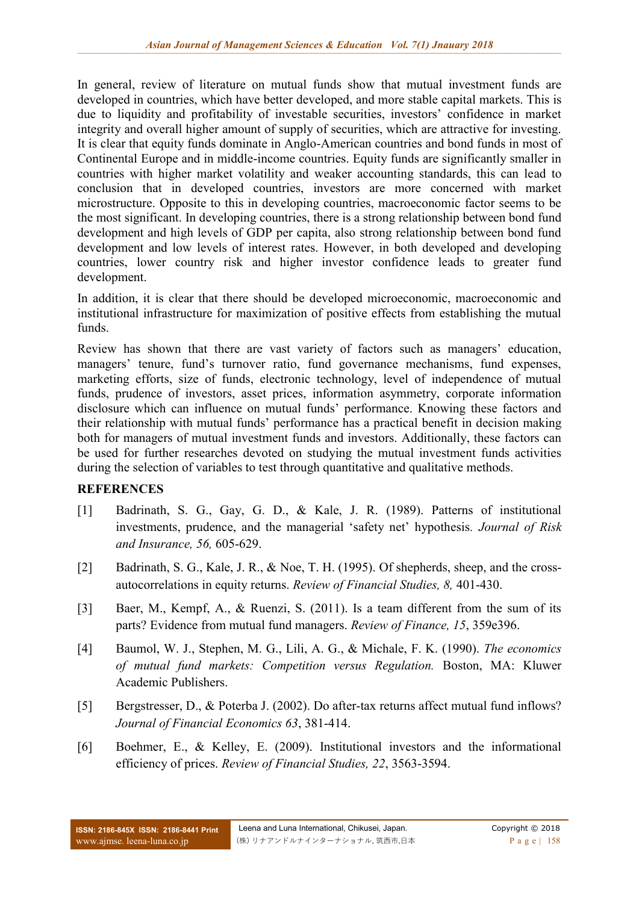In general, review of literature on mutual funds show that mutual investment funds are developed in countries, which have better developed, and more stable capital markets. This is due to liquidity and profitability of investable securities, investors' confidence in market integrity and overall higher amount of supply of securities, which are attractive for investing. It is clear that equity funds dominate in Anglo-American countries and bond funds in most of Continental Europe and in middle-income countries. Equity funds are significantly smaller in countries with higher market volatility and weaker accounting standards, this can lead to conclusion that in developed countries, investors are more concerned with market microstructure. Opposite to this in developing countries, macroeconomic factor seems to be the most significant. In developing countries, there is a strong relationship between bond fund development and high levels of GDP per capita, also strong relationship between bond fund development and low levels of interest rates. However, in both developed and developing countries, lower country risk and higher investor confidence leads to greater fund development.

In addition, it is clear that there should be developed microeconomic, macroeconomic and institutional infrastructure for maximization of positive effects from establishing the mutual funds.

Review has shown that there are vast variety of factors such as managers' education, managers' tenure, fund's turnover ratio, fund governance mechanisms, fund expenses, marketing efforts, size of funds, electronic technology, level of independence of mutual funds, prudence of investors, asset prices, information asymmetry, corporate information disclosure which can influence on mutual funds' performance. Knowing these factors and their relationship with mutual funds' performance has a practical benefit in decision making both for managers of mutual investment funds and investors. Additionally, these factors can be used for further researches devoted on studying the mutual investment funds activities during the selection of variables to test through quantitative and qualitative methods.

# **REFERENCES**

- [1] Badrinath, S. G., Gay, G. D., & Kale, J. R. (1989). Patterns of institutional investments, prudence, and the managerial 'safety net' hypothesis*. Journal of Risk and Insurance, 56,* 605-629.
- [2] Badrinath, S. G., Kale, J. R., & Noe, T. H. (1995). Of shepherds, sheep, and the crossautocorrelations in equity returns. *Review of Financial Studies, 8,* 401-430.
- [3] Baer, M., Kempf, A., & Ruenzi, S. (2011). Is a team different from the sum of its parts? Evidence from mutual fund managers. *Review of Finance, 15*, 359e396.
- [4] Baumol, W. J., Stephen, M. G., Lili, A. G., & Michale, F. K. (1990). *The economics of mutual fund markets: Competition versus Regulation.* Boston, MA: Kluwer Academic Publishers.
- [5] Bergstresser, D., & Poterba J. (2002). Do after-tax returns affect mutual fund inflows? *Journal of Financial Economics 63*, 381-414.
- [6] Boehmer, E., & Kelley, E. (2009). Institutional investors and the informational efficiency of prices. *Review of Financial Studies, 22*, 3563-3594.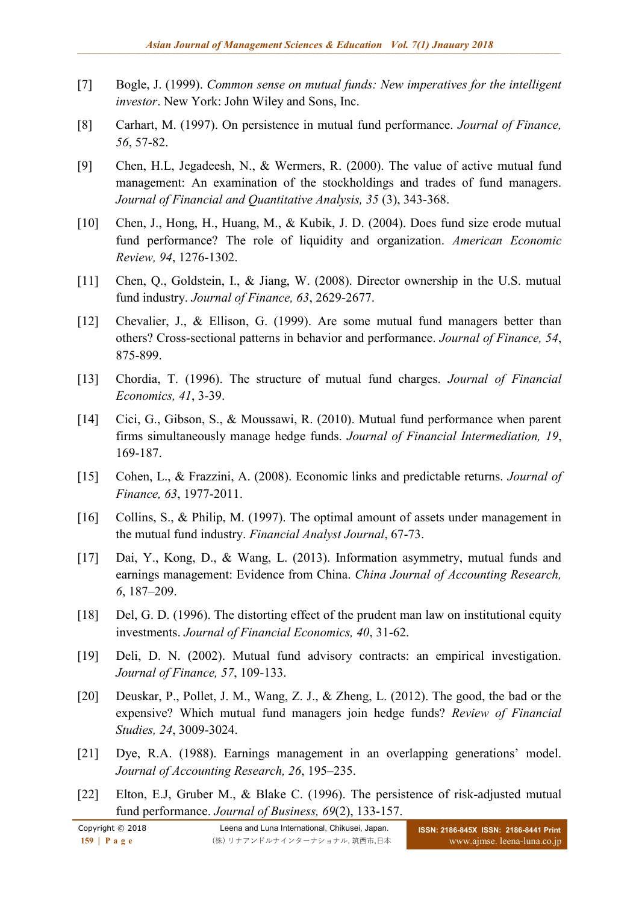- [7] Bogle, J. (1999). *Common sense on mutual funds: New imperatives for the intelligent investor*. New York: John Wiley and Sons, Inc.
- [8] Carhart, M. (1997). On persistence in mutual fund performance. *Journal of Finance, 56*, 57-82.
- [9] Chen, H.L, Jegadeesh, N., & Wermers, R. (2000). The value of active mutual fund management: An examination of the stockholdings and trades of fund managers. *Journal of Financial and Quantitative Analysis, 35* (3), 343-368.
- [10] Chen, J., Hong, H., Huang, M., & Kubik, J. D. (2004). Does fund size erode mutual fund performance? The role of liquidity and organization. *American Economic Review, 94*, 1276-1302.
- [11] Chen, Q., Goldstein, I., & Jiang, W. (2008). Director ownership in the U.S. mutual fund industry. *Journal of Finance, 63*, 2629-2677.
- [12] Chevalier, J., & Ellison, G. (1999). Are some mutual fund managers better than others? Cross-sectional patterns in behavior and performance. *Journal of Finance, 54*, 875-899.
- [13] Chordia, T. (1996). The structure of mutual fund charges. *Journal of Financial Economics, 41*, 3-39.
- [14] Cici, G., Gibson, S., & Moussawi, R. (2010). Mutual fund performance when parent firms simultaneously manage hedge funds. *Journal of Financial Intermediation, 19*, 169-187.
- [15] Cohen, L., & Frazzini, A. (2008). Economic links and predictable returns. *Journal of Finance, 63*, 1977-2011.
- [16] Collins, S., & Philip, M. (1997). The optimal amount of assets under management in the mutual fund industry. *Financial Analyst Journal*, 67-73.
- [17] Dai, Y., Kong, D., & Wang, L. (2013). Information asymmetry, mutual funds and earnings management: Evidence from China. *China Journal of Accounting Research, 6*, 187–209.
- [18] Del, G. D. (1996). The distorting effect of the prudent man law on institutional equity investments. *Journal of Financial Economics, 40*, 31-62.
- [19] Deli, D. N. (2002). Mutual fund advisory contracts: an empirical investigation. *Journal of Finance, 57*, 109-133.
- [20] Deuskar, P., Pollet, J. M., Wang, Z. J., & Zheng, L. (2012). The good, the bad or the expensive? Which mutual fund managers join hedge funds? *Review of Financial Studies, 24*, 3009-3024.
- [21] Dye, R.A. (1988). Earnings management in an overlapping generations' model. *Journal of Accounting Research, 26*, 195–235.
- [22] Elton, E.J, Gruber M., & Blake C. (1996). The persistence of risk-adjusted mutual fund performance. *Journal of Business, 69*(2), 133-157.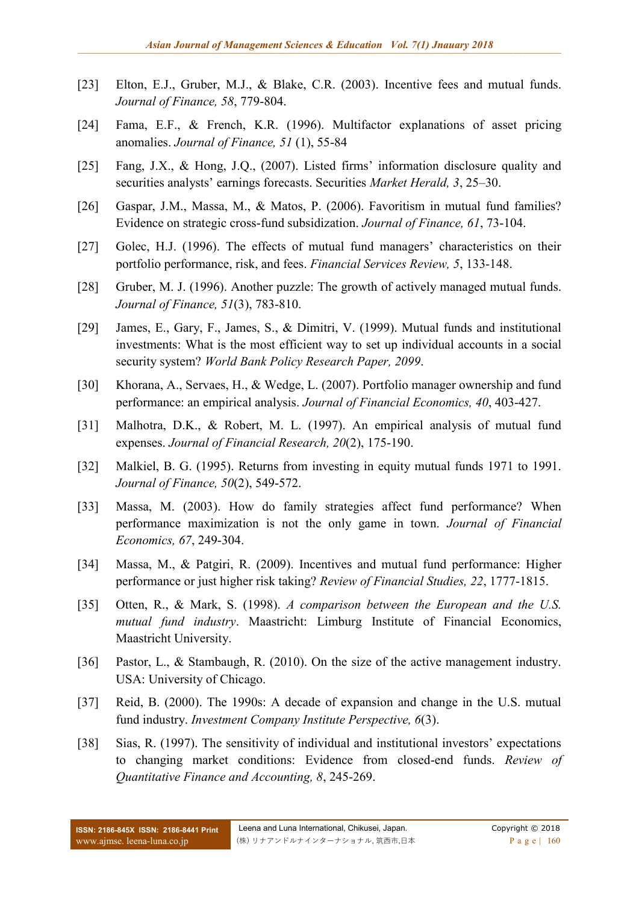- [23] Elton, E.J., Gruber, M.J., & Blake, C.R. (2003). Incentive fees and mutual funds. *Journal of Finance, 58*, 779-804.
- [24] Fama, E.F., & French, K.R. (1996). Multifactor explanations of asset pricing anomalies. *Journal of Finance, 51* (1), 55-84
- [25] Fang, J.X., & Hong, J.Q., (2007). Listed firms' information disclosure quality and securities analysts' earnings forecasts. Securities *Market Herald, 3*, 25–30.
- [26] Gaspar, J.M., Massa, M., & Matos, P. (2006). Favoritism in mutual fund families? Evidence on strategic cross-fund subsidization. *Journal of Finance, 61*, 73-104.
- [27] Golec, H.J. (1996). The effects of mutual fund managers' characteristics on their portfolio performance, risk, and fees. *Financial Services Review, 5*, 133-148.
- [28] Gruber, M. J. (1996). Another puzzle: The growth of actively managed mutual funds. *Journal of Finance, 51*(3), 783-810.
- [29] James, E., Gary, F., James, S., & Dimitri, V. (1999). Mutual funds and institutional investments: What is the most efficient way to set up individual accounts in a social security system? *World Bank Policy Research Paper, 2099*.
- [30] Khorana, A., Servaes, H., & Wedge, L. (2007). Portfolio manager ownership and fund performance: an empirical analysis. *Journal of Financial Economics, 40*, 403-427.
- [31] Malhotra, D.K., & Robert, M. L. (1997). An empirical analysis of mutual fund expenses. *Journal of Financial Research, 20*(2), 175-190.
- [32] Malkiel, B. G. (1995). Returns from investing in equity mutual funds 1971 to 1991. *Journal of Finance, 50*(2), 549-572.
- [33] Massa, M. (2003). How do family strategies affect fund performance? When performance maximization is not the only game in town. *Journal of Financial Economics, 67*, 249-304.
- [34] Massa, M., & Patgiri, R. (2009). Incentives and mutual fund performance: Higher performance or just higher risk taking? *Review of Financial Studies, 22*, 1777-1815.
- [35] Otten, R., & Mark, S. (1998). *A comparison between the European and the U.S. mutual fund industry*. Maastricht: Limburg Institute of Financial Economics, Maastricht University.
- [36] Pastor, L., & Stambaugh, R. (2010). On the size of the active management industry. USA: University of Chicago.
- [37] Reid, B. (2000). The 1990s: A decade of expansion and change in the U.S. mutual fund industry. *Investment Company Institute Perspective, 6*(3).
- [38] Sias, R. (1997). The sensitivity of individual and institutional investors' expectations to changing market conditions: Evidence from closed-end funds. *Review of Quantitative Finance and Accounting, 8*, 245-269.